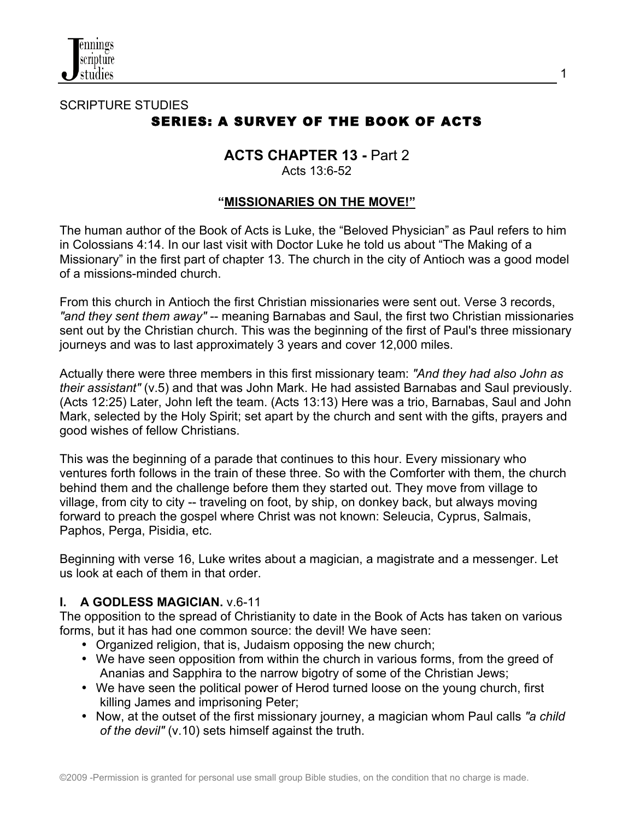

## SCRIPTURE STUDIES SERIES: A SURVEY OF THE BOOK OF ACTS

# **ACTS CHAPTER 13 -** Part 2

Acts 13:6-52

## **"MISSIONARIES ON THE MOVE!"**

The human author of the Book of Acts is Luke, the "Beloved Physician" as Paul refers to him in Colossians 4:14. In our last visit with Doctor Luke he told us about "The Making of a Missionary" in the first part of chapter 13. The church in the city of Antioch was a good model of a missions-minded church.

From this church in Antioch the first Christian missionaries were sent out. Verse 3 records, *"and they sent them away"* -- meaning Barnabas and Saul, the first two Christian missionaries sent out by the Christian church. This was the beginning of the first of Paul's three missionary journeys and was to last approximately 3 years and cover 12,000 miles.

Actually there were three members in this first missionary team: *"And they had also John as their assistant"* (v.5) and that was John Mark. He had assisted Barnabas and Saul previously. (Acts 12:25) Later, John left the team. (Acts 13:13) Here was a trio, Barnabas, Saul and John Mark, selected by the Holy Spirit; set apart by the church and sent with the gifts, prayers and good wishes of fellow Christians.

This was the beginning of a parade that continues to this hour. Every missionary who ventures forth follows in the train of these three. So with the Comforter with them, the church behind them and the challenge before them they started out. They move from village to village, from city to city -- traveling on foot, by ship, on donkey back, but always moving forward to preach the gospel where Christ was not known: Seleucia, Cyprus, Salmais, Paphos, Perga, Pisidia, etc.

Beginning with verse 16, Luke writes about a magician, a magistrate and a messenger. Let us look at each of them in that order.

## **I. A GODLESS MAGICIAN.** v.6-11

The opposition to the spread of Christianity to date in the Book of Acts has taken on various forms, but it has had one common source: the devil! We have seen:

- Organized religion, that is, Judaism opposing the new church;
- We have seen opposition from within the church in various forms, from the greed of Ananias and Sapphira to the narrow bigotry of some of the Christian Jews;
- We have seen the political power of Herod turned loose on the young church, first killing James and imprisoning Peter;
- Now, at the outset of the first missionary journey, a magician whom Paul calls *"a child of the devil"* (v.10) sets himself against the truth.

1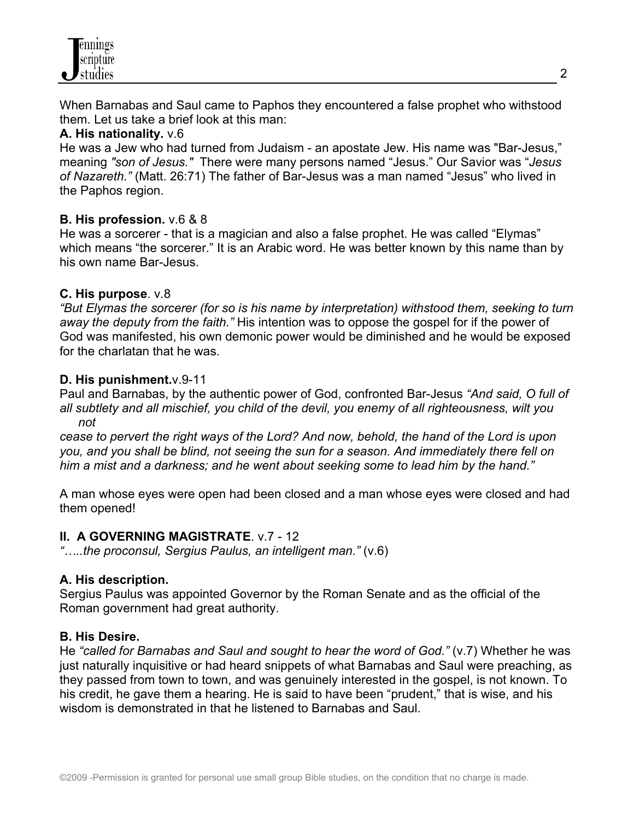When Barnabas and Saul came to Paphos they encountered a false prophet who withstood them. Let us take a brief look at this man:

## **A. His nationality.** v.6

He was a Jew who had turned from Judaism - an apostate Jew. His name was "Bar-Jesus," meaning *"son of Jesus."* There were many persons named "Jesus." Our Savior was "*Jesus of Nazareth."* (Matt. 26:71) The father of Bar-Jesus was a man named "Jesus" who lived in the Paphos region.

## **B. His profession.** v.6 & 8

He was a sorcerer - that is a magician and also a false prophet. He was called "Elymas" which means "the sorcerer." It is an Arabic word. He was better known by this name than by his own name Bar-Jesus.

## **C. His purpose**. v.8

*"But Elymas the sorcerer (for so is his name by interpretation) withstood them, seeking to turn away the deputy from the faith."* His intention was to oppose the gospel for if the power of God was manifested, his own demonic power would be diminished and he would be exposed for the charlatan that he was.

## **D. His punishment.**v.9-11

Paul and Barnabas, by the authentic power of God, confronted Bar-Jesus *"And said, O full of all subtlety and all mischief, you child of the devil, you enemy of all righteousness, wilt you not* 

*cease to pervert the right ways of the Lord? And now, behold, the hand of the Lord is upon you, and you shall be blind, not seeing the sun for a season. And immediately there fell on him a mist and a darkness; and he went about seeking some to lead him by the hand."*

A man whose eyes were open had been closed and a man whose eyes were closed and had them opened!

## **II. A GOVERNING MAGISTRATE**. v.7 - 12

*"…..the proconsul, Sergius Paulus, an intelligent man."* (v.6)

## **A. His description.**

Sergius Paulus was appointed Governor by the Roman Senate and as the official of the Roman government had great authority.

## **B. His Desire.**

He *"called for Barnabas and Saul and sought to hear the word of God."* (v.7) Whether he was just naturally inquisitive or had heard snippets of what Barnabas and Saul were preaching, as they passed from town to town, and was genuinely interested in the gospel, is not known. To his credit, he gave them a hearing. He is said to have been "prudent," that is wise, and his wisdom is demonstrated in that he listened to Barnabas and Saul.

2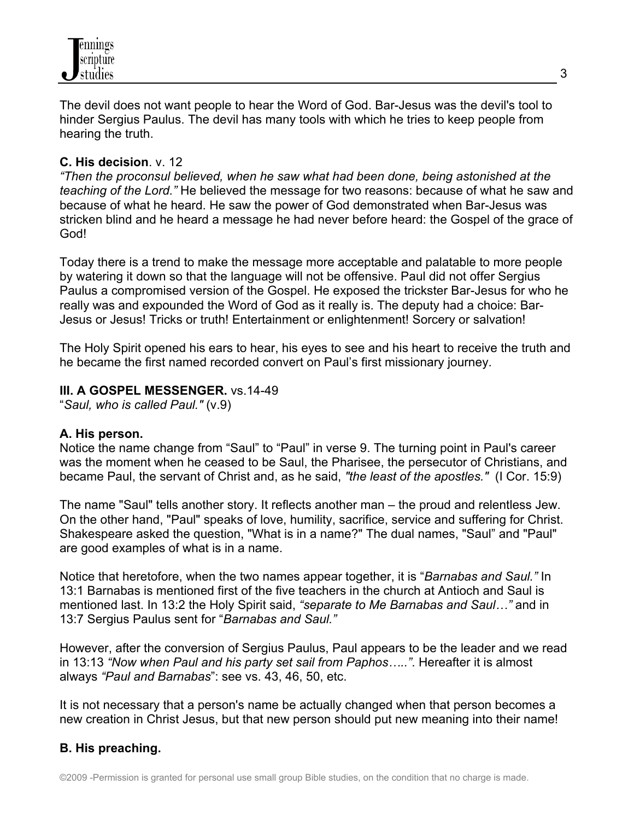

The devil does not want people to hear the Word of God. Bar-Jesus was the devil's tool to hinder Sergius Paulus. The devil has many tools with which he tries to keep people from hearing the truth.

## **C. His decision**. v. 12

*"Then the proconsul believed, when he saw what had been done, being astonished at the teaching of the Lord."* He believed the message for two reasons: because of what he saw and because of what he heard. He saw the power of God demonstrated when Bar-Jesus was stricken blind and he heard a message he had never before heard: the Gospel of the grace of God!

Today there is a trend to make the message more acceptable and palatable to more people by watering it down so that the language will not be offensive. Paul did not offer Sergius Paulus a compromised version of the Gospel. He exposed the trickster Bar-Jesus for who he really was and expounded the Word of God as it really is. The deputy had a choice: Bar-Jesus or Jesus! Tricks or truth! Entertainment or enlightenment! Sorcery or salvation!

The Holy Spirit opened his ears to hear, his eyes to see and his heart to receive the truth and he became the first named recorded convert on Paul's first missionary journey.

## **III. A GOSPEL MESSENGER.** vs.14-49

"*Saul, who is called Paul."* (v.9)

## **A. His person.**

Notice the name change from "Saul" to "Paul" in verse 9. The turning point in Paul's career was the moment when he ceased to be Saul, the Pharisee, the persecutor of Christians, and became Paul, the servant of Christ and, as he said, *"the least of the apostles."* (I Cor. 15:9)

The name "Saul" tells another story. It reflects another man – the proud and relentless Jew. On the other hand, "Paul" speaks of love, humility, sacrifice, service and suffering for Christ. Shakespeare asked the question, "What is in a name?" The dual names, "Saul" and "Paul" are good examples of what is in a name.

Notice that heretofore, when the two names appear together, it is "*Barnabas and Saul."* In 13:1 Barnabas is mentioned first of the five teachers in the church at Antioch and Saul is mentioned last. In 13:2 the Holy Spirit said, *"separate to Me Barnabas and Saul…"* and in 13:7 Sergius Paulus sent for "*Barnabas and Saul."*

However, after the conversion of Sergius Paulus, Paul appears to be the leader and we read in 13:13 *"Now when Paul and his party set sail from Paphos….."*. Hereafter it is almost always *"Paul and Barnabas*": see vs. 43, 46, 50, etc.

It is not necessary that a person's name be actually changed when that person becomes a new creation in Christ Jesus, but that new person should put new meaning into their name!

## **B. His preaching.**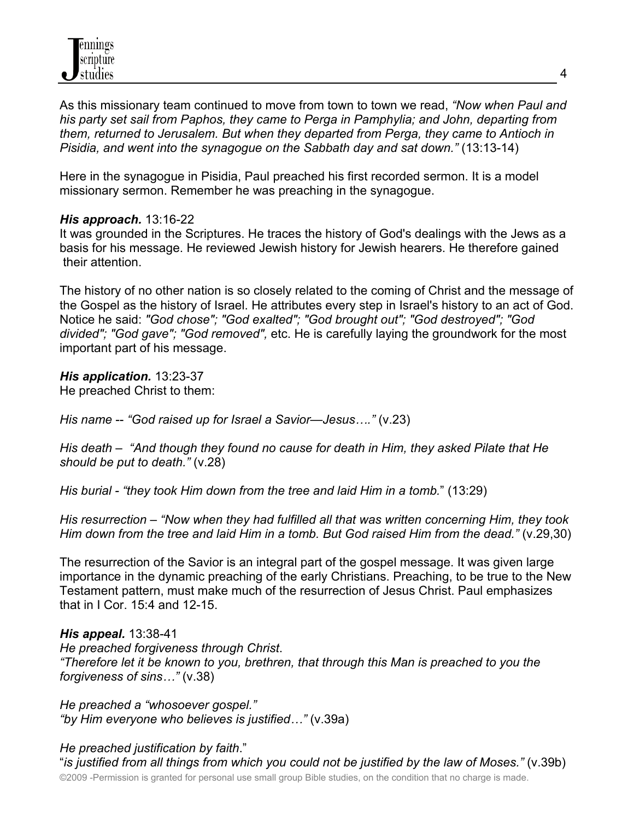

As this missionary team continued to move from town to town we read, *"Now when Paul and his party set sail from Paphos, they came to Perga in Pamphylia; and John, departing from them, returned to Jerusalem. But when they departed from Perga, they came to Antioch in Pisidia, and went into the synagogue on the Sabbath day and sat down."* (13:13-14)

Here in the synagogue in Pisidia, Paul preached his first recorded sermon. It is a model missionary sermon. Remember he was preaching in the synagogue.

#### *His approach.* 13:16-22

It was grounded in the Scriptures. He traces the history of God's dealings with the Jews as a basis for his message. He reviewed Jewish history for Jewish hearers. He therefore gained their attention.

The history of no other nation is so closely related to the coming of Christ and the message of the Gospel as the history of Israel. He attributes every step in Israel's history to an act of God. Notice he said: *"God chose"; "God exalted"; "God brought out"; "God destroyed"; "God divided"; "God gave"; "God removed",* etc. He is carefully laying the groundwork for the most important part of his message.

*His application.* 13:23-37 He preached Christ to them:

*His name* -- *"God raised up for Israel a Savior—Jesus…."* (v.23)

*His death* – *"And though they found no cause for death in Him, they asked Pilate that He should be put to death."* (v.28)

*His burial - "they took Him down from the tree and laid Him in a tomb.*" (13:29)

*His resurrection* – *"Now when they had fulfilled all that was written concerning Him, they took Him down from the tree and laid Him in a tomb. But God raised Him from the dead."* (v.29,30)

The resurrection of the Savior is an integral part of the gospel message. It was given large importance in the dynamic preaching of the early Christians. Preaching, to be true to the New Testament pattern, must make much of the resurrection of Jesus Christ. Paul emphasizes that in I Cor. 15:4 and 12-15.

*His appeal.* 13:38-41 *He preached forgiveness through Christ*. *"Therefore let it be known to you, brethren, that through this Man is preached to you the forgiveness of sins…"* (v.38)

*He preached a "whosoever gospel." "by Him everyone who believes is justified…"* (v.39a)

©2009 -Permission is granted for personal use small group Bible studies, on the condition that no charge is made. *He preached justification by faith*." "*is justified from all things from which you could not be justified by the law of Moses."* (v.39b)